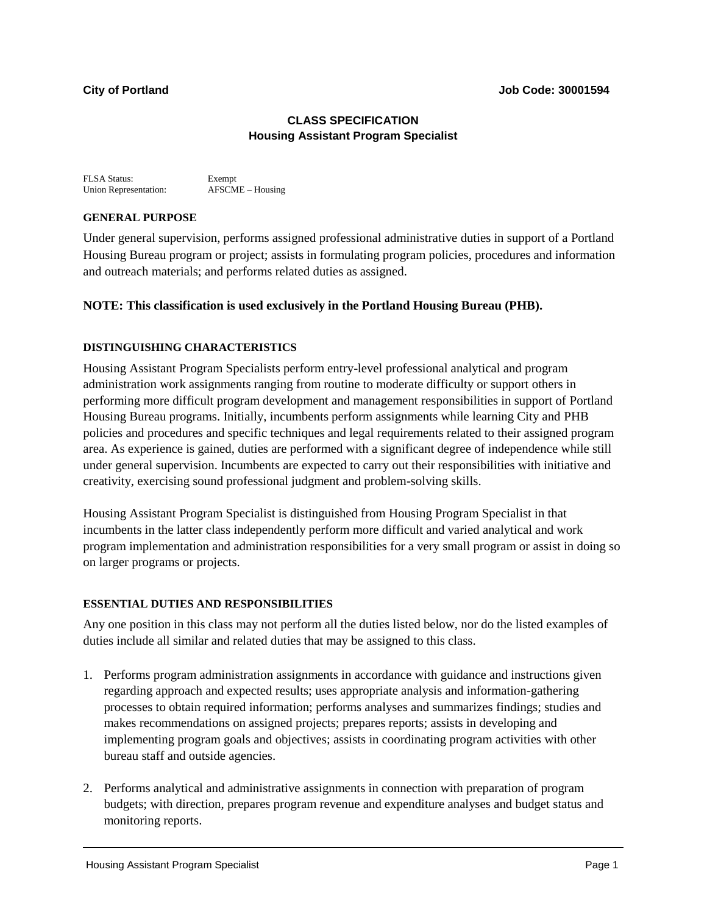# **CLASS SPECIFICATION Housing Assistant Program Specialist**

FLSA Status: Exempt<br>
Union Representation: AFSCME – Housing Union Representation:

# **GENERAL PURPOSE**

Under general supervision, performs assigned professional administrative duties in support of a Portland Housing Bureau program or project; assists in formulating program policies, procedures and information and outreach materials; and performs related duties as assigned.

# **NOTE: This classification is used exclusively in the Portland Housing Bureau (PHB).**

# **DISTINGUISHING CHARACTERISTICS**

Housing Assistant Program Specialists perform entry-level professional analytical and program administration work assignments ranging from routine to moderate difficulty or support others in performing more difficult program development and management responsibilities in support of Portland Housing Bureau programs. Initially, incumbents perform assignments while learning City and PHB policies and procedures and specific techniques and legal requirements related to their assigned program area. As experience is gained, duties are performed with a significant degree of independence while still under general supervision. Incumbents are expected to carry out their responsibilities with initiative and creativity, exercising sound professional judgment and problem-solving skills.

Housing Assistant Program Specialist is distinguished from Housing Program Specialist in that incumbents in the latter class independently perform more difficult and varied analytical and work program implementation and administration responsibilities for a very small program or assist in doing so on larger programs or projects.

## **ESSENTIAL DUTIES AND RESPONSIBILITIES**

Any one position in this class may not perform all the duties listed below, nor do the listed examples of duties include all similar and related duties that may be assigned to this class.

- 1. Performs program administration assignments in accordance with guidance and instructions given regarding approach and expected results; uses appropriate analysis and information-gathering processes to obtain required information; performs analyses and summarizes findings; studies and makes recommendations on assigned projects; prepares reports; assists in developing and implementing program goals and objectives; assists in coordinating program activities with other bureau staff and outside agencies.
- 2. Performs analytical and administrative assignments in connection with preparation of program budgets; with direction, prepares program revenue and expenditure analyses and budget status and monitoring reports.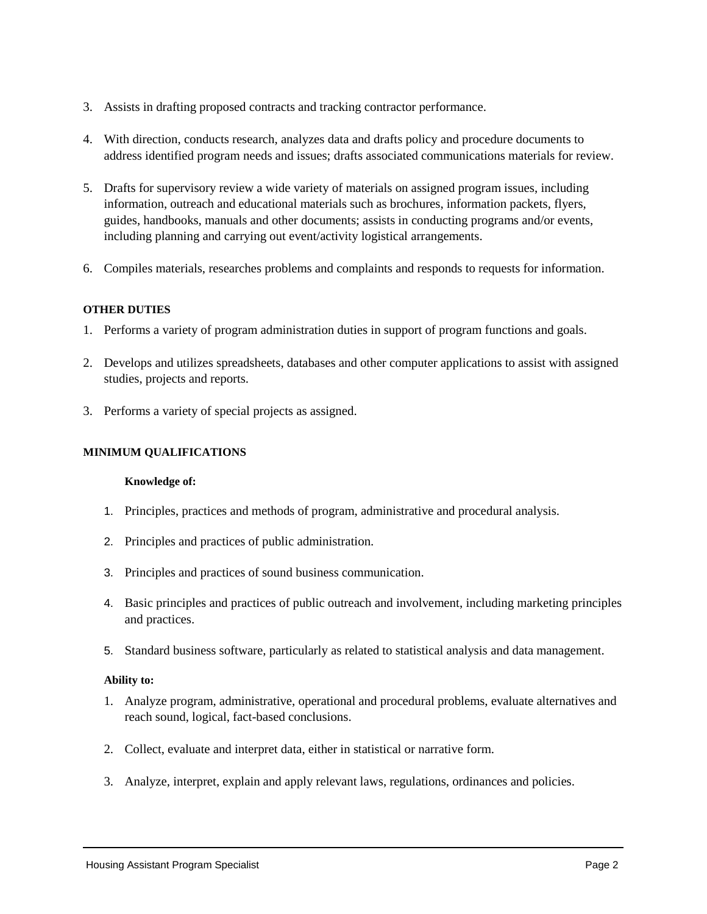- 3. Assists in drafting proposed contracts and tracking contractor performance.
- 4. With direction, conducts research, analyzes data and drafts policy and procedure documents to address identified program needs and issues; drafts associated communications materials for review.
- 5. Drafts for supervisory review a wide variety of materials on assigned program issues, including information, outreach and educational materials such as brochures, information packets, flyers, guides, handbooks, manuals and other documents; assists in conducting programs and/or events, including planning and carrying out event/activity logistical arrangements.
- 6. Compiles materials, researches problems and complaints and responds to requests for information.

## **OTHER DUTIES**

- 1. Performs a variety of program administration duties in support of program functions and goals.
- 2. Develops and utilizes spreadsheets, databases and other computer applications to assist with assigned studies, projects and reports.
- 3. Performs a variety of special projects as assigned.

## **MINIMUM QUALIFICATIONS**

#### **Knowledge of:**

- 1. Principles, practices and methods of program, administrative and procedural analysis.
- 2. Principles and practices of public administration.
- 3. Principles and practices of sound business communication.
- 4. Basic principles and practices of public outreach and involvement, including marketing principles and practices.
- 5. Standard business software, particularly as related to statistical analysis and data management.

## **Ability to:**

- 1. Analyze program, administrative, operational and procedural problems, evaluate alternatives and reach sound, logical, fact-based conclusions.
- 2. Collect, evaluate and interpret data, either in statistical or narrative form.
- 3. Analyze, interpret, explain and apply relevant laws, regulations, ordinances and policies.